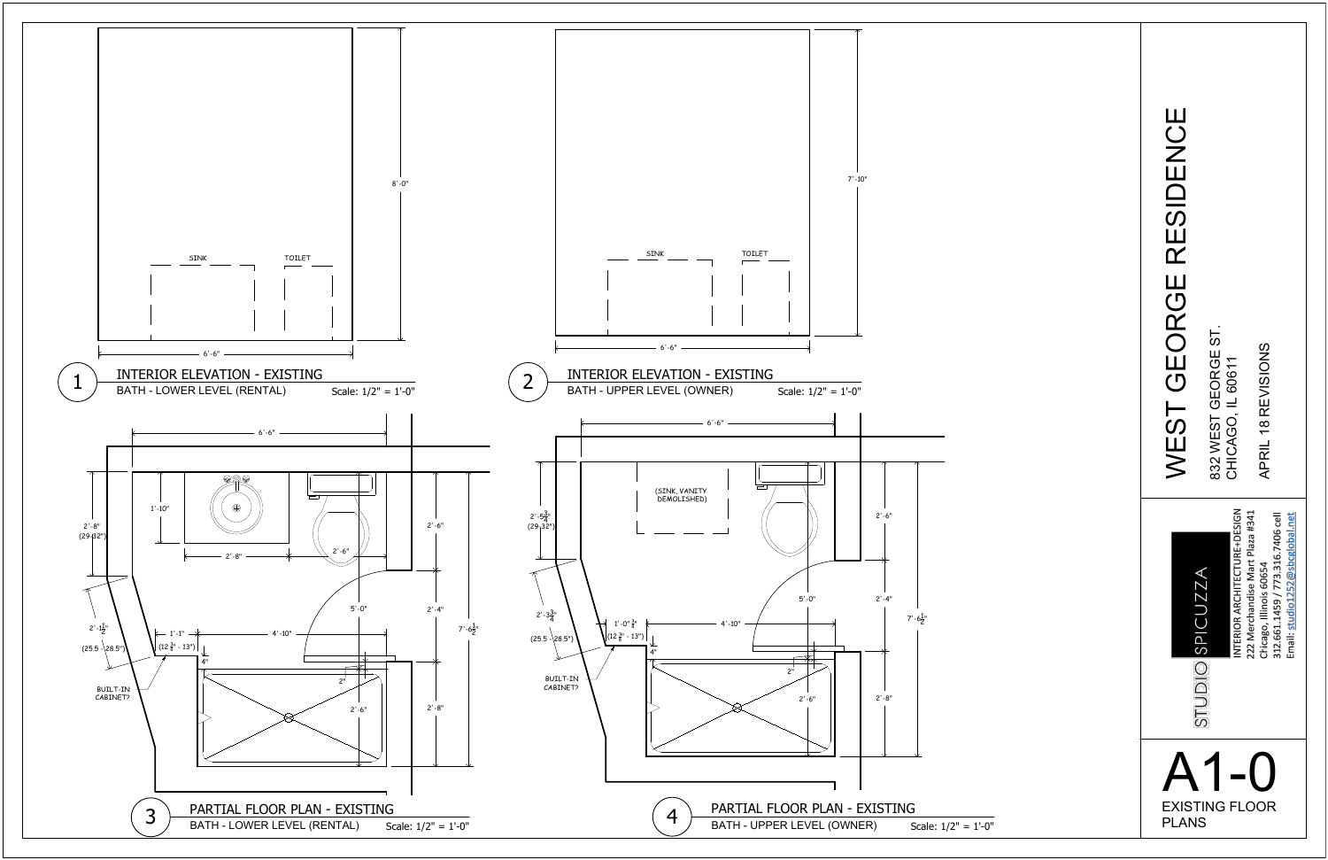